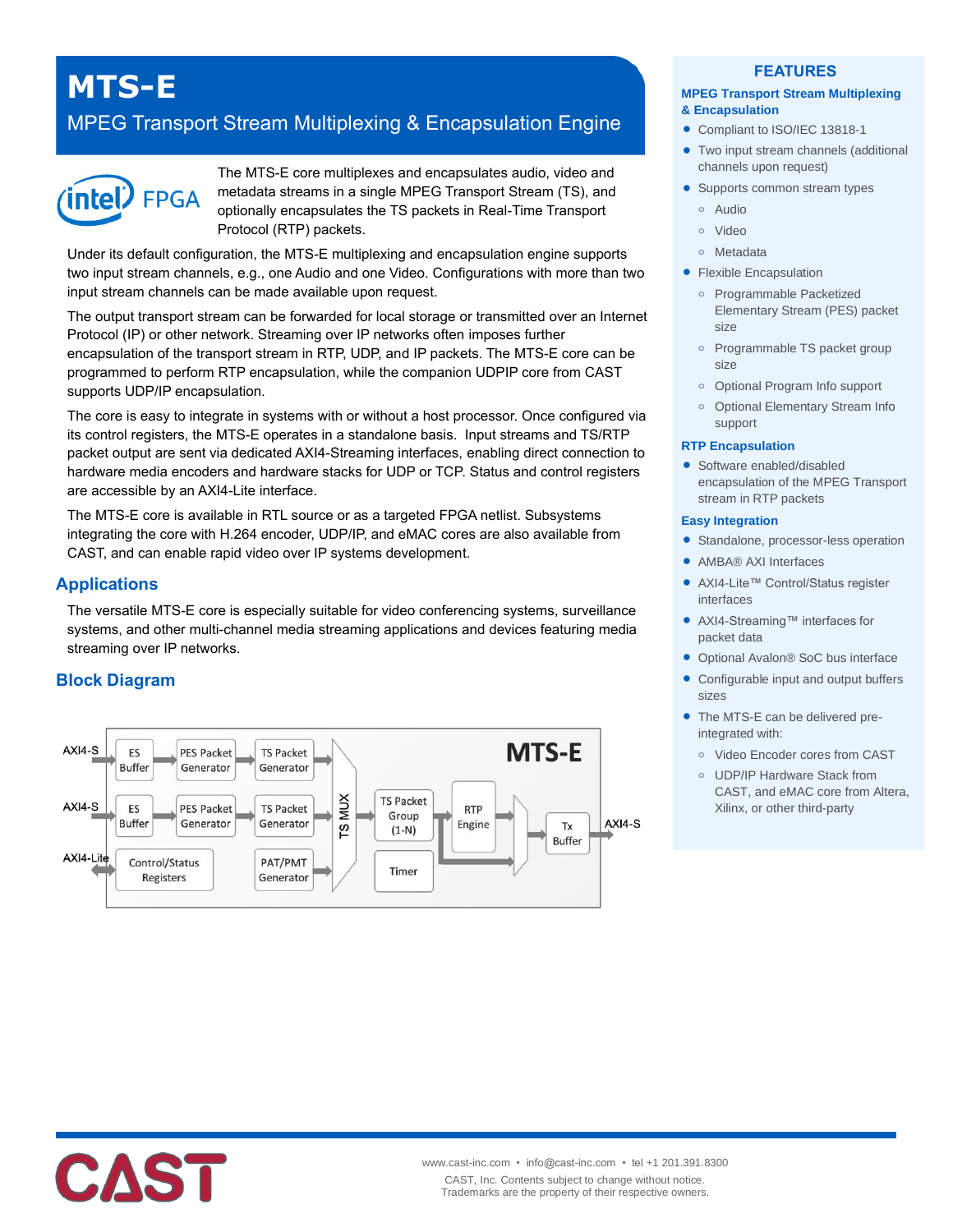# **MTS-E**

## MPEG Transport Stream Multiplexing & Encapsulation Engine



The MTS-E core multiplexes and encapsulates audio, video and metadata streams in a single MPEG Transport Stream (TS), and optionally encapsulates the TS packets in Real-Time Transport Protocol (RTP) packets.

Under its default configuration, the MTS-E multiplexing and encapsulation engine supports two input stream channels, e.g., one Audio and one Video. Configurations with more than two input stream channels can be made available upon request.

The output transport stream can be forwarded for local storage or transmitted over an Internet Protocol (IP) or other network. Streaming over IP networks often imposes further encapsulation of the transport stream in RTP, UDP, and IP packets. The MTS-E core can be programmed to perform RTP encapsulation, while the companion UDPIP core from CAST supports UDP/IP encapsulation.

The core is easy to integrate in systems with or without a host processor. Once configured via its control registers, the MTS-E operates in a standalone basis. Input streams and TS/RTP packet output are sent via dedicated AXI4-Streaming interfaces, enabling direct connection to hardware media encoders and hardware stacks for UDP or TCP. Status and control registers are accessible by an AXI4-Lite interface.

The MTS-E core is available in RTL source or as a targeted FPGA netlist. Subsystems integrating the core with H.264 encoder, UDP/IP, and eMAC cores are also available from CAST, and can enable rapid video over IP systems development.

## **Applications**

The versatile MTS-E core is especially suitable for video conferencing systems, surveillance systems, and other multi-channel media streaming applications and devices featuring media streaming over IP networks.

## **Block Diagram**



#### **FEATURES**

#### **MPEG Transport Stream Multiplexing & Encapsulation**

- Compliant to ISO/IEC 13818-1
- Two input stream channels (additional channels upon request)
- Supports common stream types
	- **o** Audio
	- **o** Video
	- **o** Metadata
- **Flexible Encapsulation** 
	- **o** Programmable Packetized Elementary Stream (PES) packet size
	- **o** Programmable TS packet group size
	- **o** Optional Program Info support
	- **o** Optional Elementary Stream Info support

#### **RTP Encapsulation**

• Software enabled/disabled encapsulation of the MPEG Transport stream in RTP packets

#### **Easy Integration**

- **•** Standalone, processor-less operation
- AMBA® AXI Interfaces
- AXI4-Lite™ Control/Status register interfaces
- AXI4-Streaming™ interfaces for packet data
- Optional Avalon® SoC bus interface
- Configurable input and output buffers sizes
- The MTS-E can be delivered preintegrated with:
	- **o** Video Encoder cores from CAST
	- **o** UDP/IP Hardware Stack from CAST, and eMAC core from Altera, Xilinx, or other third-party